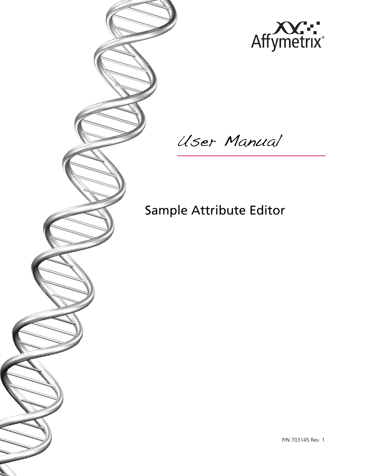

User Manual

Sample Attribute Editor

P/N 703145 Rev. 1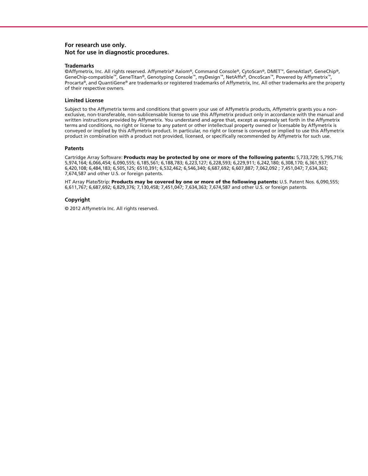### **For research use only. Not for use in diagnostic procedures.**

### **Trademarks**

©Affymetrix, Inc. All rights reserved. Affymetrix® Axiom®, Command Console®, CytoScan®, DMET™, GeneAtlas®, GeneChip®, GeneChip-compatible™, GeneTitan®, Genotyping Console™, myDesign™, NetAffx®, OncoScan™, Powered by Affymetrix™, Procarta®, and QuantiGene® are trademarks or registered trademarks of Affymetrix, Inc. All other trademarks are the property of their respective owners.

### **Limited License**

Subject to the Affymetrix terms and conditions that govern your use of Affymetrix products, Affymetrix grants you a nonexclusive, non-transferable, non-sublicensable license to use this Affymetrix product only in accordance with the manual and written instructions provided by Affymetrix. You understand and agree that, except as expressly set forth in the Affymetrix terms and conditions, no right or license to any patent or other intellectual property owned or licensable by Affymetrix is conveyed or implied by this Affymetrix product. In particular, no right or license is conveyed or implied to use this Affymetrix product in combination with a product not provided, licensed, or specifically recommended by Affymetrix for such use.

### **Patents**

Cartridge Array Software: **Products may be protected by one or more of the following patents:** 5,733,729; 5,795,716; 5,974,164; 6,066,454; 6,090,555; 6,185,561; 6,188,783; 6,223,127; 6,228,593; 6,229,911; 6,242,180; 6,308,170; 6,361,937; 6,420,108; 6,484,183; 6,505,125; 6510,391; 6,532,462; 6,546,340; 6,687,692; 6,607,887; 7,062,092 ; 7,451,047; 7,634,363; 7,674,587 and other U.S. or foreign patents.

HT Array Plate/Strip: **Products may be covered by one or more of the following patents:** U.S. Patent Nos. 6,090,555; 6,611,767; 6,687,692; 6,829,376; 7,130,458; 7,451,047; 7,634,363; 7,674,587 and other U.S. or foreign patents.

### **Copyright**

© 2012 Affymetrix Inc. All rights reserved.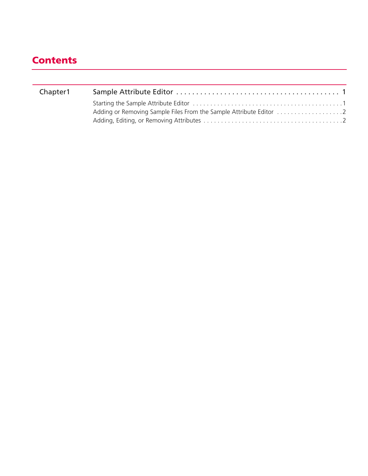# **Contents**

| Chapter1 |  |
|----------|--|
|          |  |
|          |  |
|          |  |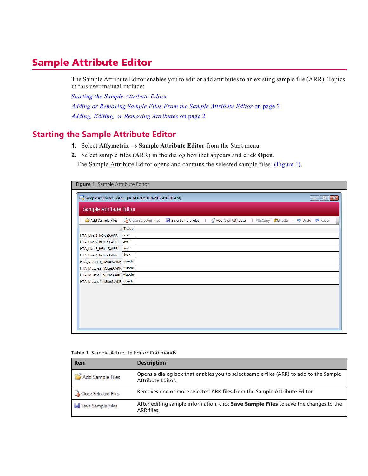## <span id="page-3-0"></span>**Sample Attribute Editor**

The Sample Attribute Editor enables you to edit or add attributes to an existing sample file (ARR). Topics in this user manual include:

*[Starting the Sample Attribute Editor](#page-3-1) [Adding or Removing Sample Files From the Sample Attribute Editor](#page-4-0)* [on page 2](#page-4-0) *[Adding, Editing, or Removing Attributes](#page-4-1)* [on page 2](#page-4-1)

## <span id="page-3-1"></span>**Starting the Sample Attribute Editor**

- **1.** Select **Affymetrix**  $\rightarrow$  **Sample Attribute Editor** from the Start menu.
- **2.** Select sample files (ARR) in the dialog box that appears and click **Open**. The Sample Attribute Editor opens and contains the selected sample files [\(Figure 1\).](#page-3-2)

<span id="page-3-2"></span>

| Figure 1 Sample Attribute Editor                                                                                                                                                   |                                                                                                              |  |  |  |  |
|------------------------------------------------------------------------------------------------------------------------------------------------------------------------------------|--------------------------------------------------------------------------------------------------------------|--|--|--|--|
| Sample Attributes Editor - [Build Date: 9/18/2012 4:03:10 AM]<br>$\begin{array}{c c c c c c} \hline \multicolumn{3}{c }{\mathbf{C}} & \multicolumn{3}{c }{\mathbf{X}} \end{array}$ |                                                                                                              |  |  |  |  |
| Sample Attribute Editor                                                                                                                                                            |                                                                                                              |  |  |  |  |
| Add Sample Files                                                                                                                                                                   | Close Selected Files <b>A</b> Save Sample Files<br>Add New Attribute   a Copy <b>B</b> Paste   4 Undo   Redo |  |  |  |  |
|                                                                                                                                                                                    | Tissue                                                                                                       |  |  |  |  |
| HTA_Liver1_hGlue3.ARR                                                                                                                                                              | Liver                                                                                                        |  |  |  |  |
| HTA_Liver2_hGlue3.ARR                                                                                                                                                              | Liver                                                                                                        |  |  |  |  |
| HTA_Liver3_hGlue3.ARR                                                                                                                                                              | Liver                                                                                                        |  |  |  |  |
| HTA_Liver4_hGlue3.ARR                                                                                                                                                              | Liver                                                                                                        |  |  |  |  |
| HTA_Muscle1_hGlue3.ARR Muscle                                                                                                                                                      |                                                                                                              |  |  |  |  |
| HTA_Muscle2_hGlue3.ARR Muscle                                                                                                                                                      |                                                                                                              |  |  |  |  |
| HTA_Muscle3_hGlue3.ARR Muscle                                                                                                                                                      |                                                                                                              |  |  |  |  |
| HTA_Muscle4_hGlue3.ARR Muscle                                                                                                                                                      |                                                                                                              |  |  |  |  |
|                                                                                                                                                                                    |                                                                                                              |  |  |  |  |
|                                                                                                                                                                                    |                                                                                                              |  |  |  |  |
|                                                                                                                                                                                    |                                                                                                              |  |  |  |  |
|                                                                                                                                                                                    |                                                                                                              |  |  |  |  |
|                                                                                                                                                                                    |                                                                                                              |  |  |  |  |
|                                                                                                                                                                                    |                                                                                                              |  |  |  |  |
|                                                                                                                                                                                    |                                                                                                              |  |  |  |  |

### **Table 1** Sample Attribute Editor Commands

| <b>Item</b>            | <b>Description</b>                                                                                         |
|------------------------|------------------------------------------------------------------------------------------------------------|
| Add Sample Files       | Opens a dialog box that enables you to select sample files (ARR) to add to the Sample<br>Attribute Editor. |
| A Close Selected Files | Removes one or more selected ARR files from the Sample Attribute Editor.                                   |
| Save Sample Files      | After editing sample information, click Save Sample Files to save the changes to the<br>ARR files.         |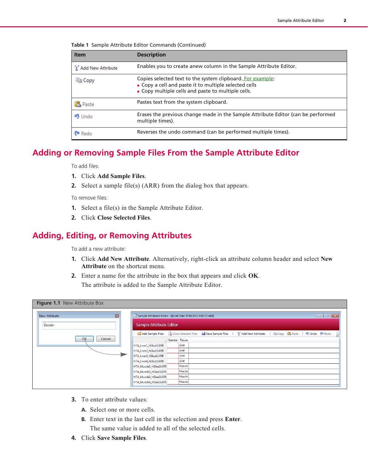| <b>Item</b>       | <b>Description</b>                                                                                                                                                        |  |  |  |
|-------------------|---------------------------------------------------------------------------------------------------------------------------------------------------------------------------|--|--|--|
| Add New Attribute | Enables you to create anew column in the Sample Attribute Editor.                                                                                                         |  |  |  |
| <b>la Copy</b>    | Copies selected text to the system clipboard. For example:<br>• Copy a cell and paste it to multiple selected cells<br>• Copy multiple cells and paste to multiple cells. |  |  |  |
| <b>B</b> Paste    | Pastes text from the system clipboard.                                                                                                                                    |  |  |  |
| <b>ID</b> Undo    | Erases the previous change made in the Sample Attribute Editor (can be performed<br>multiple times).                                                                      |  |  |  |
| <b>P</b> Redo     | Reverses the undo command (can be performed multiple times).                                                                                                              |  |  |  |

**Table 1** Sample Attribute Editor Commands (Continued)

### <span id="page-4-0"></span>**Adding or Removing Sample Files From the Sample Attribute Editor**

To add files:

- **1.** Click **Add Sample Files**.
- **2.** Select a sample file(s) (ARR) from the dialog box that appears.

To remove files:

- **1.** Select a file(s) in the Sample Attribute Editor.
- **2.** Click **Close Selected Files**.

## <span id="page-4-1"></span>**Adding, Editing, or Removing Attributes**

To add a new attribute:

- **1.** Click **Add New Attribute**. Alternatively, right-click an attribute column header and select **New Attribute** on the shortcut menu.
- **2.** Enter a name for the attribute in the box that appears and click **OK**. The attribute is added to the Sample Attribute Editor.

| Figure 1.1 New Attribute Box           |                                                                                                                                                                                    |  |  |  |  |
|----------------------------------------|------------------------------------------------------------------------------------------------------------------------------------------------------------------------------------|--|--|--|--|
| $\blacksquare$<br><b>New Attribute</b> | Sample Attributes Editor - [Build Date: 9/18/2012 4:03:10 AM]<br>$\begin{array}{c c c c c c} \hline \multicolumn{3}{c }{\mathbf{C}} & \multicolumn{3}{c }{\mathbf{X}} \end{array}$ |  |  |  |  |
| Gender                                 | Sample Attribute Editor                                                                                                                                                            |  |  |  |  |
|                                        | Add Sample Files A Close Selected Files B Save Sample Files   4 Add New Attribute   a Copy B Paste   9 Undo @ Redo                                                                 |  |  |  |  |
| OK<br>Cancel                           | Gender Tissue                                                                                                                                                                      |  |  |  |  |
|                                        | Liver<br>HTA_Liver1_hGlue3.ARR                                                                                                                                                     |  |  |  |  |
|                                        | Liver<br>HTA_Liver2_hGlue3.ARR                                                                                                                                                     |  |  |  |  |
|                                        | Liver<br>HTA_Liver3_hGlue3.ARR                                                                                                                                                     |  |  |  |  |
|                                        | Liver<br>HTA_Liver4_hGlue3.ARR                                                                                                                                                     |  |  |  |  |
|                                        | Muscle<br>HTA_Muscle1_hGlue3.ARR                                                                                                                                                   |  |  |  |  |
|                                        | Muscle<br>HTA_Muscle2_hGlue3.ARR                                                                                                                                                   |  |  |  |  |
|                                        | Muscle<br>HTA_Muscle3_hGlue3.ARR                                                                                                                                                   |  |  |  |  |
|                                        | Muscle<br>HTA_Muscle4_hGlue3.ARR                                                                                                                                                   |  |  |  |  |
|                                        |                                                                                                                                                                                    |  |  |  |  |

- **3.** To enter attribute values:
	- **A.** Select one or more cells.
	- **B.** Enter text in the last cell in the selection and press **Enter**. The same value is added to all of the selected cells.
- **4.** Click **Save Sample Files**.